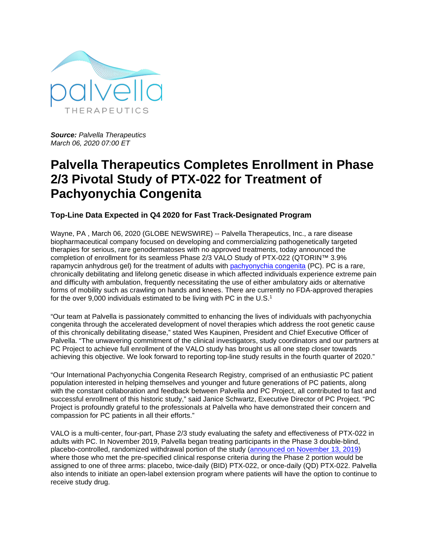

*Source: Palvella Therapeutics March 06, 2020 07:00 ET*

## **Palvella Therapeutics Completes Enrollment in Phase 2/3 Pivotal Study of PTX-022 for Treatment of Pachyonychia Congenita**

## **Top-Line Data Expected in Q4 2020 for Fast Track-Designated Program**

Wayne, PA , March 06, 2020 (GLOBE NEWSWIRE) -- Palvella Therapeutics, Inc., a rare disease biopharmaceutical company focused on developing and commercializing pathogenetically targeted therapies for serious, rare genodermatoses with no approved treatments, today announced the completion of enrollment for its seamless Phase 2/3 VALO Study of PTX-022 (QTORIN™ 3.9% rapamycin anhydrous gel) for the treatment of adults with [pachyonychia congenita](https://www.globenewswire.com/Tracker?data=zAHDBPWrE7CayjQ2anRhQUszvkQgzvjLs4Lr5fdx90woaJGSMVxheCSzXkhclNMoaxEwxB9eIzZCGifZE9CEBPkCjM1e6XsCDsXavy2a-NngJjTPLMp3ui1mS69X3s52) (PC). PC is a rare, chronically debilitating and lifelong genetic disease in which affected individuals experience extreme pain and difficulty with ambulation, frequently necessitating the use of either ambulatory aids or alternative forms of mobility such as crawling on hands and knees. There are currently no FDA-approved therapies for the over 9,000 individuals estimated to be living with PC in the U.S.<sup>1</sup>

"Our team at Palvella is passionately committed to enhancing the lives of individuals with pachyonychia congenita through the accelerated development of novel therapies which address the root genetic cause of this chronically debilitating disease," stated Wes Kaupinen, President and Chief Executive Officer of Palvella. "The unwavering commitment of the clinical investigators, study coordinators and our partners at PC Project to achieve full enrollment of the VALO study has brought us all one step closer towards achieving this objective. We look forward to reporting top-line study results in the fourth quarter of 2020."

"Our International Pachyonychia Congenita Research Registry, comprised of an enthusiastic PC patient population interested in helping themselves and younger and future generations of PC patients, along with the constant collaboration and feedback between Palvella and PC Project, all contributed to fast and successful enrollment of this historic study," said Janice Schwartz, Executive Director of PC Project. "PC Project is profoundly grateful to the professionals at Palvella who have demonstrated their concern and compassion for PC patients in all their efforts."

VALO is a multi-center, four-part, Phase 2/3 study evaluating the safety and effectiveness of PTX-022 in adults with PC. In November 2019, Palvella began treating participants in the Phase 3 double-blind, placebo-controlled, randomized withdrawal portion of the study [\(announced on November 13, 2019\)](https://www.globenewswire.com/Tracker?data=WWOB4TmsEJvQHqFuIdO2AjCMlA9-nLPsMNvJBMoCx2tw0oiJ2kbgaAByRXAwtK3bseHwntrnAmuVoG7U7fkLal3FkWSs6qNn4AYa_jAOtU0=) where those who met the pre-specified clinical response criteria during the Phase 2 portion would be assigned to one of three arms: placebo, twice-daily (BID) PTX-022, or once-daily (QD) PTX-022. Palvella also intends to initiate an open-label extension program where patients will have the option to continue to receive study drug.